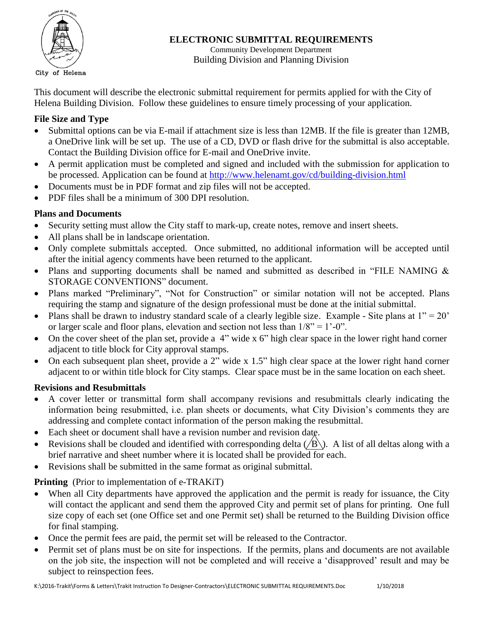

**ELECTRONIC SUBMITTAL REQUIREMENTS**

Community Development Department Building Division and Planning Division

This document will describe the electronic submittal requirement for permits applied for with the City of Helena Building Division. Follow these guidelines to ensure timely processing of your application.

## **File Size and Type**

- Submittal options can be via E-mail if attachment size is less than 12MB. If the file is greater than 12MB, a OneDrive link will be set up. The use of a CD, DVD or flash drive for the submittal is also acceptable. Contact the Building Division office for E-mail and OneDrive invite.
- A permit application must be completed and signed and included with the submission for application to be processed. Application can be found at<http://www.helenamt.gov/cd/building-division.html>
- Documents must be in PDF format and zip files will not be accepted.
- PDF files shall be a minimum of 300 DPI resolution.

## **Plans and Documents**

- Security setting must allow the City staff to mark-up, create notes, remove and insert sheets.
- All plans shall be in landscape orientation.
- Only complete submittals accepted. Once submitted, no additional information will be accepted until after the initial agency comments have been returned to the applicant.
- Plans and supporting documents shall be named and submitted as described in "FILE NAMING & STORAGE CONVENTIONS" document.
- Plans marked "Preliminary", "Not for Construction" or similar notation will not be accepted. Plans requiring the stamp and signature of the design professional must be done at the initial submittal.
- Plans shall be drawn to industry standard scale of a clearly legible size. Example Site plans at  $1'' = 20'$ or larger scale and floor plans, elevation and section not less than  $1/8$ " = 1'-0".
- On the cover sheet of the plan set, provide a 4" wide x 6" high clear space in the lower right hand corner adjacent to title block for City approval stamps.
- On each subsequent plan sheet, provide a 2" wide x 1.5" high clear space at the lower right hand corner adjacent to or within title block for City stamps. Clear space must be in the same location on each sheet.

### **Revisions and Resubmittals**

- A cover letter or transmittal form shall accompany revisions and resubmittals clearly indicating the information being resubmitted, i.e. plan sheets or documents, what City Division's comments they are addressing and complete contact information of the person making the resubmittal.
- Each sheet or document shall have a revision number and revision date.
- Revisions shall be clouded and identified with corresponding delta ( $\overline{B}$ ). A list of all deltas along with a brief narrative and sheet number where it is located shall be provided for each.
- Revisions shall be submitted in the same format as original submittal.

# **Printing** (Prior to implementation of e-TRAKiT)

- When all City departments have approved the application and the permit is ready for issuance, the City will contact the applicant and send them the approved City and permit set of plans for printing. One full size copy of each set (one Office set and one Permit set) shall be returned to the Building Division office for final stamping.
- Once the permit fees are paid, the permit set will be released to the Contractor.
- Permit set of plans must be on site for inspections. If the permits, plans and documents are not available on the job site, the inspection will not be completed and will receive a 'disapproved' result and may be subject to reinspection fees.